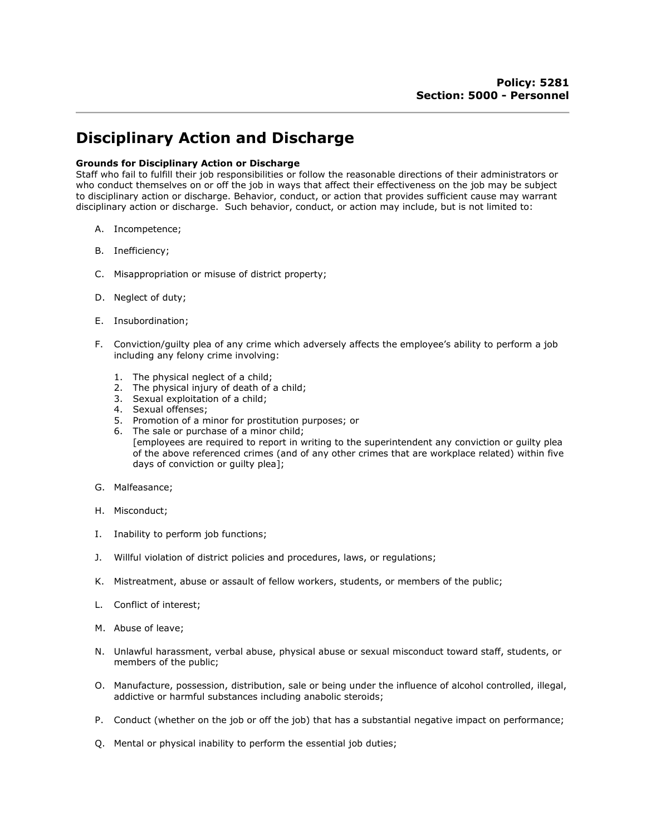## Disciplinary Action and Discharge

## Grounds for Disciplinary Action or Discharge

Staff who fail to fulfill their job responsibilities or follow the reasonable directions of their administrators or who conduct themselves on or off the job in ways that affect their effectiveness on the job may be subject to disciplinary action or discharge. Behavior, conduct, or action that provides sufficient cause may warrant disciplinary action or discharge. Such behavior, conduct, or action may include, but is not limited to:

- A. Incompetence;
- B. Inefficiency;
- C. Misappropriation or misuse of district property;
- D. Neglect of duty;
- E. Insubordination;
- F. Conviction/guilty plea of any crime which adversely affects the employee's ability to perform a job including any felony crime involving:
	- 1. The physical neglect of a child;
	- 2. The physical injury of death of a child;
	- 3. Sexual exploitation of a child;
	- 4. Sexual offenses;
	- 5. Promotion of a minor for prostitution purposes; or
	- 6. The sale or purchase of a minor child;
		- [employees are required to report in writing to the superintendent any conviction or guilty plea of the above referenced crimes (and of any other crimes that are workplace related) within five days of conviction or guilty plea];
- G. Malfeasance;
- H. Misconduct;
- I. Inability to perform job functions;
- J. Willful violation of district policies and procedures, laws, or regulations;
- K. Mistreatment, abuse or assault of fellow workers, students, or members of the public;
- L. Conflict of interest;
- M. Abuse of leave;
- N. Unlawful harassment, verbal abuse, physical abuse or sexual misconduct toward staff, students, or members of the public;
- O. Manufacture, possession, distribution, sale or being under the influence of alcohol controlled, illegal, addictive or harmful substances including anabolic steroids;
- P. Conduct (whether on the job or off the job) that has a substantial negative impact on performance;
- Q. Mental or physical inability to perform the essential job duties;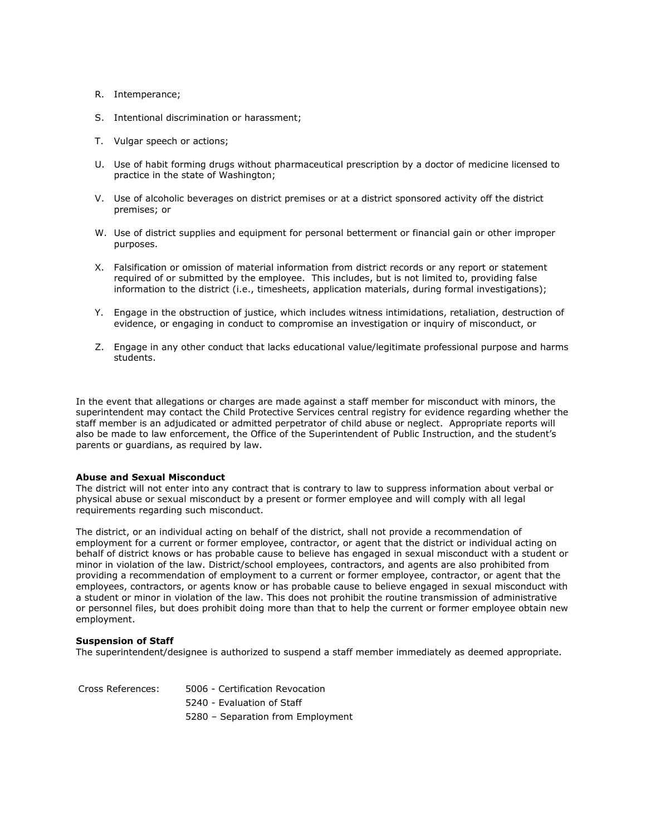- R. Intemperance;
- S. Intentional discrimination or harassment;
- T. Vulgar speech or actions;
- U. Use of habit forming drugs without pharmaceutical prescription by a doctor of medicine licensed to practice in the state of Washington;
- V. Use of alcoholic beverages on district premises or at a district sponsored activity off the district premises; or
- W. Use of district supplies and equipment for personal betterment or financial gain or other improper purposes.
- X. Falsification or omission of material information from district records or any report or statement required of or submitted by the employee. This includes, but is not limited to, providing false information to the district (i.e., timesheets, application materials, during formal investigations);
- Y. Engage in the obstruction of justice, which includes witness intimidations, retaliation, destruction of evidence, or engaging in conduct to compromise an investigation or inquiry of misconduct, or
- Z. Engage in any other conduct that lacks educational value/legitimate professional purpose and harms students.

In the event that allegations or charges are made against a staff member for misconduct with minors, the superintendent may contact the Child Protective Services central registry for evidence regarding whether the staff member is an adjudicated or admitted perpetrator of child abuse or neglect. Appropriate reports will also be made to law enforcement, the Office of the Superintendent of Public Instruction, and the student's parents or guardians, as required by law.

## Abuse and Sexual Misconduct

The district will not enter into any contract that is contrary to law to suppress information about verbal or physical abuse or sexual misconduct by a present or former employee and will comply with all legal requirements regarding such misconduct.

The district, or an individual acting on behalf of the district, shall not provide a recommendation of employment for a current or former employee, contractor, or agent that the district or individual acting on behalf of district knows or has probable cause to believe has engaged in sexual misconduct with a student or minor in violation of the law. District/school employees, contractors, and agents are also prohibited from providing a recommendation of employment to a current or former employee, contractor, or agent that the employees, contractors, or agents know or has probable cause to believe engaged in sexual misconduct with a student or minor in violation of the law. This does not prohibit the routine transmission of administrative or personnel files, but does prohibit doing more than that to help the current or former employee obtain new employment.

## Suspension of Staff

The superintendent/designee is authorized to suspend a staff member immediately as deemed appropriate.

| Cross References: | 5006 - Certification Revocation   |
|-------------------|-----------------------------------|
|                   | 5240 - Evaluation of Staff        |
|                   | 5280 - Separation from Employment |